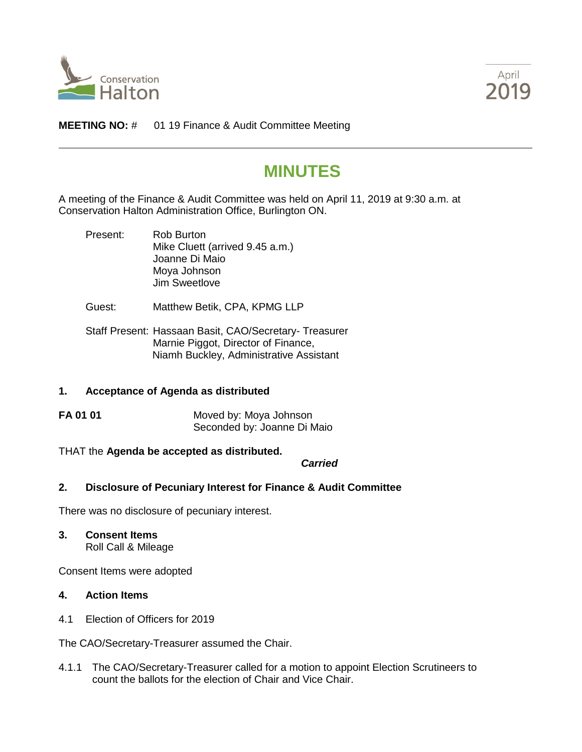



**MEETING NO:** # 01 19 Finance & Audit Committee Meeting

# **MINUTES**

A meeting of the Finance & Audit Committee was held on April 11, 2019 at 9:30 a.m. at Conservation Halton Administration Office, Burlington ON.

- Present: Rob Burton Mike Cluett (arrived 9.45 a.m.) Joanne Di Maio Moya Johnson Jim Sweetlove
- Guest: Matthew Betik, CPA, KPMG LLP
- Staff Present: Hassaan Basit, CAO/Secretary- Treasurer Marnie Piggot, Director of Finance, Niamh Buckley, Administrative Assistant

## **1. Acceptance of Agenda as distributed**

**FA 01 01** Moved by: Moya Johnson Seconded by: Joanne Di Maio

## THAT the **Agenda be accepted as distributed.**

*Carried*

## **2. Disclosure of Pecuniary Interest for Finance & Audit Committee**

There was no disclosure of pecuniary interest.

**3. Consent Items**

Roll Call & Mileage

Consent Items were adopted

# **4. Action Items**

4.1 Election of Officers for 2019

The CAO/Secretary-Treasurer assumed the Chair.

4.1.1 The CAO/Secretary-Treasurer called for a motion to appoint Election Scrutineers to count the ballots for the election of Chair and Vice Chair.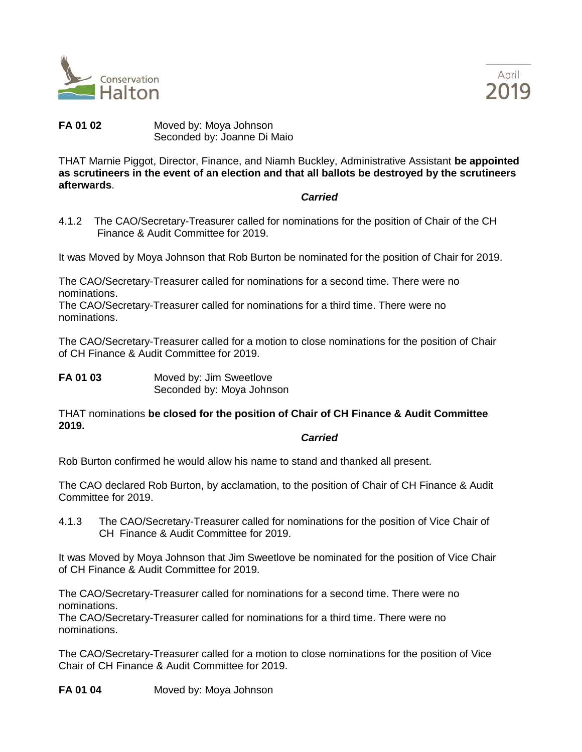



**FA 01 02** Moved by: Moya Johnson Seconded by: Joanne Di Maio

THAT Marnie Piggot, Director, Finance, and Niamh Buckley, Administrative Assistant **be appointed as scrutineers in the event of an election and that all ballots be destroyed by the scrutineers afterwards**.

#### *Carried*

4.1.2 The CAO/Secretary-Treasurer called for nominations for the position of Chair of the CH Finance & Audit Committee for 2019.

It was Moved by Moya Johnson that Rob Burton be nominated for the position of Chair for 2019.

The CAO/Secretary-Treasurer called for nominations for a second time. There were no nominations.

The CAO/Secretary-Treasurer called for nominations for a third time. There were no nominations.

The CAO/Secretary-Treasurer called for a motion to close nominations for the position of Chair of CH Finance & Audit Committee for 2019.

**FA 01 03** Moved by: Jim Sweetlove Seconded by: Moya Johnson

THAT nominations **be closed for the position of Chair of CH Finance & Audit Committee 2019.**

#### *Carried*

Rob Burton confirmed he would allow his name to stand and thanked all present.

The CAO declared Rob Burton, by acclamation, to the position of Chair of CH Finance & Audit Committee for 2019.

4.1.3 The CAO/Secretary-Treasurer called for nominations for the position of Vice Chair of CH Finance & Audit Committee for 2019.

It was Moved by Moya Johnson that Jim Sweetlove be nominated for the position of Vice Chair of CH Finance & Audit Committee for 2019.

The CAO/Secretary-Treasurer called for nominations for a second time. There were no nominations.

The CAO/Secretary-Treasurer called for nominations for a third time. There were no nominations.

The CAO/Secretary-Treasurer called for a motion to close nominations for the position of Vice Chair of CH Finance & Audit Committee for 2019.

**FA 01 04** Moved by: Moya Johnson